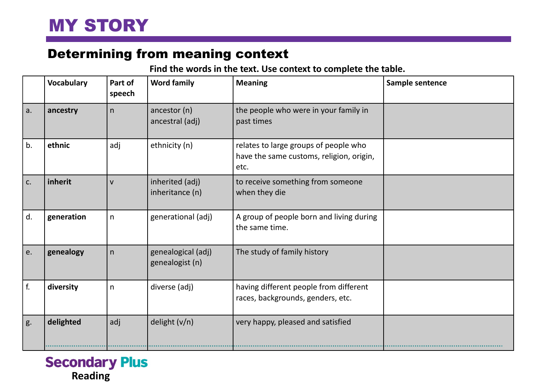## Determining from meaning context

## **Find the words in the text. Use context to complete the table.**

|     | <b>Vocabulary</b> | Part of<br>speech | <b>Word family</b>                    | <b>Meaning</b>                                                                            | Sample sentence |
|-----|-------------------|-------------------|---------------------------------------|-------------------------------------------------------------------------------------------|-----------------|
| a.  | ancestry          | n                 | ancestor (n)<br>ancestral (adj)       | the people who were in your family in<br>past times                                       |                 |
| b.  | ethnic            | adj               | ethnicity (n)                         | relates to large groups of people who<br>have the same customs, religion, origin,<br>etc. |                 |
| c.  | inherit           | $\mathsf{V}$      | inherited (adj)<br>inheritance (n)    | to receive something from someone<br>when they die                                        |                 |
| d.  | generation        | n                 | generational (adj)                    | A group of people born and living during<br>the same time.                                |                 |
| le. | genealogy         | n                 | genealogical (adj)<br>genealogist (n) | The study of family history                                                               |                 |
| f.  | diversity         | n                 | diverse (adj)                         | having different people from different<br>races, backgrounds, genders, etc.               |                 |
| g.  | delighted         | adj               | delight $(v/n)$                       | very happy, pleased and satisfied                                                         |                 |